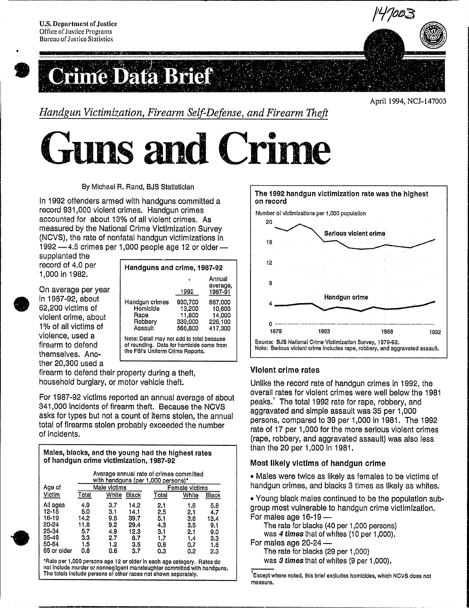

# •<br>•<br>• ne Data Brief

April 1994, NCJ-147003

*Handgun Victimization, Firearm Self-Defense, and Firearm Theft* 

**uns and Crime** 

By Michael R. Rand, BJS Statistician

In 1992 offenders armed with handguns committed a record 931,000 violent crimes. Handgun crimes accounted for about 13% of all violent crimes. As measured by the National Crime Victimization Survey (NCVS), the rate of nonfatal handgun victimizations In  $1992 - 4.5$  crimes per 1,000 people age 12 or older-

supplanted the record of 4.0 per 1,000 in 1982.

Or<br>
in<br>
62<br>
vic<br>
1%<br>
1% On average per year In 1987-92, about 62,200 victims of violent crime, about 1 % of all victims of violence, used a firearm to defend themselves. Ano· ther 20,300 used a

| Handguns and crime, 1987-92                                                                                               |                                                   |                                                   |  |
|---------------------------------------------------------------------------------------------------------------------------|---------------------------------------------------|---------------------------------------------------|--|
|                                                                                                                           | 1992                                              | Annual<br>average,<br>1987-91                     |  |
| Handgun crimes<br>Homicide<br>Rape<br>Robbery<br>Assault                                                                  | 930,700<br>13,200<br>11,800<br>339,000<br>566,800 | 667,000<br>10,600<br>14,000<br>225.100<br>417,300 |  |
| Note: Detail may not add to total because<br>of rounding. Data for homicide come from<br>the FBI's Uniform Crime Reports. |                                                   |                                                   |  |

firearm to defend their property during a theft, household burglary, or motor vehicle theft.

For 1987-92 victims reported an annual average of about 341,000 Incidents of firearm theft. Because the NCVS asks for types but not a count of items stolen, the annual total of firearms stolen probably exceeded the number of incidents.

Males, blacks, and the young had the highest rates of handgun crime victimization, 1987·92

| Age of      | Male victims |       | Female victims |       |       |       |
|-------------|--------------|-------|----------------|-------|-------|-------|
| Victim      | Total        | White | Black          | Total | White | Black |
| All ages    | 4.9          | 3.7   | 14.2           | 2.1   | 1.6   | 5.8   |
| 12-15       | 5.0          | 3.1   | 14.1           | 2.5   | 2.1   | 4.7   |
| 16-19       | 14.2         | 9.5   | 39.7           | 5.1   | 3.6   | 13.4  |
| 20-24       | 11.8         | 9.2   | 29.4           | 4.3   | 3.5   | 9.1   |
| 25-34       | 5.7          | 4.9   | 12.3           | 3.1   | 2.1   | 9.0   |
| 35-49       | 3.3          | 2.7   | 8.7            | 1.7   | 1.4   | 3.3   |
| 50-64       | 1.5          | 1.2   | 3.5            | 0.8   | 0.7   | 1.6   |
| 65 or older | 0.8          | 0.6   | 3.7            | 0.3   | 0.2   | 2.3   |

\*Rate per 1,000 persons age 12 or older in each age category. Rates do not Inelude murder or nonnegligent manslaughter commlttod with handguns. The totals Include persons of other races not shown separately.



#### Violent crime rates

Unlike the record rate of handgun crimes In 1992, the overall rates for violent crimes were well below the 1981 peaks.' The total 1992 rate for rape, robbery, and aggravated and simple assault was 35 per 1,000 persons, compared to 39 per 1,000 In 1981. The 1992 rate of 17 per 1,000 for the more serious violent crimes (rape, robbery, and aggravated assault) was also less than the 20 per 1,000 In 1981.

#### Most likely victims of handgun crime

• Males were twice as likely as females to be victims of handgun crimes, and blacks 3 times as likely as whites.

• Young black males continued to be the population subgroup most vulnerable to handgun crime victimization. For males age  $16-19-$ 

The rate for blacks (40 per 1,000 persons) was 4 *times* that of whites (10 per 1,000). For males age  $20-24$  -

The rate for blacks (29 per 1,000) was 3 *times* that of whites (9 per 1,000).

<sup>&#</sup>x27;Except where noted, this brief excludes homicides, which NCVS does not measure.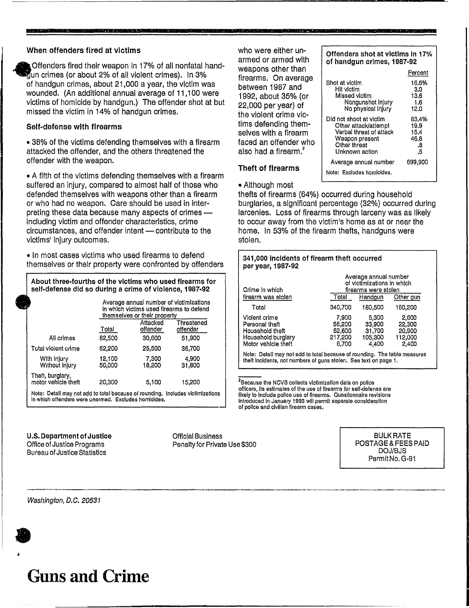#### When offenders fired at victims

**•** 

~ Offenders fired their weapon In 17% of all nonfatal hand- ~un crimes (or about 2% of all violent crimes). In 3% of handgun crimes, about 21,000 a year, the victim was wounded. (An additional annual average of 11,100 were victims of homicide by handgun.) The offender shot at but missed the victim in 14% of handgun crimes.

#### Self·defense with firearms

• 38% of the victims defending themselves with a firearm attacked the offender, and the others threatened the offender with the weapon.

• A fifth of the victims defending themselves with a firearm suffered an injury, compared to almost half of those who defended themselves with weapons other than a *i*lrearm or who had no weapon. Care should be used in interpreting these data because many aspects of crimes including victim and offender characteristics, crime circumstances, and offender intent - contribute to the victims' injury outcomes.

• In most cases victims who used firearms to defend themselves or their property were confronted by offenders

#### About three·fourths of the victims who used firearms for self-defense did so during a crime of violence, 1987·92

|                                         | Average annual number of victimizations<br>in which victims used firearms to defend<br>themselves or their property |                      |                        |  |
|-----------------------------------------|---------------------------------------------------------------------------------------------------------------------|----------------------|------------------------|--|
|                                         | Total                                                                                                               | Attacked<br>offender | Threatened<br>offender |  |
| All crimes                              | 82,500                                                                                                              | 30,600               | 51,900                 |  |
| Total violent crime                     | 62,200                                                                                                              | 25,500               | 36,700                 |  |
| With injury<br>Without Injury           | 12,100<br>50,000                                                                                                    | 7,300<br>18,200      | 4,900<br>31,800        |  |
| Theft, burglary,<br>motor vehicle theft | 20,300                                                                                                              | 5,100                | 15,200                 |  |
|                                         |                                                                                                                     |                      |                        |  |

Note: Detail may not add to total because of rounding. Includes victimizations In which offenders were unarmed. Excludes homloldes.

#### U.S. Department of Justice Office of Justice Programs Bureau of Justice Statistics

Official Business Penalty for Private Use \$300

who were either unarmed or armed with weapons other than firearms. On average between 1987 and 1992, about 35% (or 22,000 per year) of the violent crime victims defending themselves with a firearm faced an offender who also had a firearm.<sup>2</sup>

| of handgun crimes, 1987-92                                                                                                     |                                           |
|--------------------------------------------------------------------------------------------------------------------------------|-------------------------------------------|
|                                                                                                                                | Percent                                   |
| Shot at victim<br>Hit victim<br>Missed victim<br>Nongunshot injury<br>No physical injury                                       | 16.6%<br>3.0<br>13.6<br>1.6<br>12.0       |
| Did not shoot at victim<br>Other attack/attempt<br>Verbal threat of attack<br>Weapon present<br>Other threat<br>Unknown action | 83.4%<br>19.9<br>15.4<br>46.8<br>.8<br>.5 |
| Average annual number                                                                                                          | 699,900                                   |
| Note: Excludes homicides.                                                                                                      |                                           |

### Theft of firearms

• Although most

thefts of firearms (64%) occurred during household burglaries, a significant percentage (32%) occurred during larcenies. Loss of firearms through larceny was as likely to occur away from the victim's home as at or near the home. In 53% of the firearm thefts, handguns were stolen.

| 341,000 incidents of firearm theft occurred<br>per year, 1987-92                                                                              |                                               |                                                                             |                                               |  |  |
|-----------------------------------------------------------------------------------------------------------------------------------------------|-----------------------------------------------|-----------------------------------------------------------------------------|-----------------------------------------------|--|--|
| Crime in which                                                                                                                                |                                               | Average annual number<br>of victimizations in which<br>firearms were stolen |                                               |  |  |
| firearm was stolen                                                                                                                            | Total                                         | Handgun                                                                     | Other gun                                     |  |  |
| Total                                                                                                                                         | 340,700                                       | 180,500                                                                     | 160.200                                       |  |  |
| Violent crime<br>Personal theft<br>Household theft<br>Household burglary<br>Motor vehicle theft                                               | 7,900<br>56,200<br>52,600<br>217,200<br>6.700 | 5,300<br>33.900<br>31,700<br>105,300<br>4.400                               | 2,600<br>22,300<br>20,900<br>112,000<br>2,400 |  |  |
| Note: Detail may not add to total because of rounding. The table measures<br>theft incidents, not numbers of guns stolen. See text on page 1. |                                               |                                                                             |                                               |  |  |

<sup>2</sup>Because the NCVS collects victimization data on police officers, Its estimates of the use of firearms for self-defense are likely to Include police use of firearms. Questionnaire revisions Introduced In January 1993 will permit separate consideration 01 police and civilian firearm cases.

> BULK RATE POSTAGE & FEES PAID DOJ/BJS Permit No. G·91

> > I

#### Washington, D.C. 20531

**a** 

## **Guns and Crime**